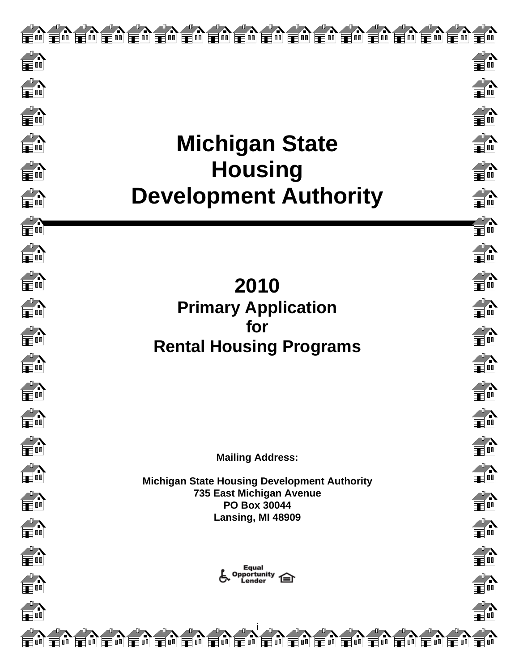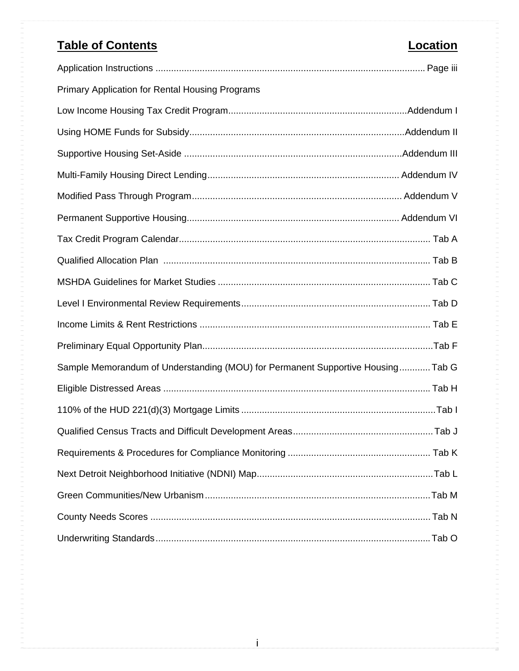# **Table of Contents Location**

| <b>Primary Application for Rental Housing Programs</b>                         |  |
|--------------------------------------------------------------------------------|--|
|                                                                                |  |
|                                                                                |  |
|                                                                                |  |
|                                                                                |  |
|                                                                                |  |
|                                                                                |  |
|                                                                                |  |
|                                                                                |  |
|                                                                                |  |
|                                                                                |  |
|                                                                                |  |
|                                                                                |  |
| Sample Memorandum of Understanding (MOU) for Permanent Supportive HousingTab G |  |
|                                                                                |  |
|                                                                                |  |
|                                                                                |  |
|                                                                                |  |
|                                                                                |  |
|                                                                                |  |
|                                                                                |  |
|                                                                                |  |

i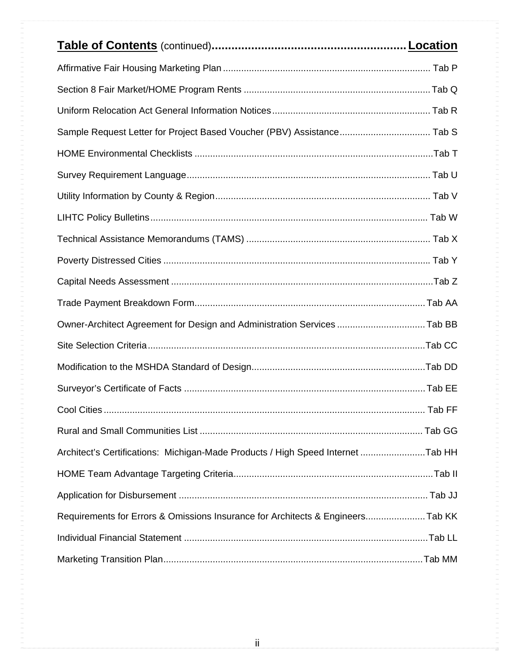| Sample Request Letter for Project Based Voucher (PBV) Assistance Tab S          |        |
|---------------------------------------------------------------------------------|--------|
|                                                                                 |        |
|                                                                                 |        |
|                                                                                 |        |
|                                                                                 |        |
|                                                                                 |        |
|                                                                                 |        |
|                                                                                 |        |
|                                                                                 |        |
| Owner-Architect Agreement for Design and Administration Services Tab BB         |        |
|                                                                                 |        |
|                                                                                 |        |
|                                                                                 |        |
| <b>Cool Cities</b>                                                              | Tab FF |
|                                                                                 |        |
| Architect's Certifications: Michigan-Made Products / High Speed Internet Tab HH |        |
|                                                                                 |        |
|                                                                                 |        |
| Requirements for Errors & Omissions Insurance for Architects & EngineersTab KK  |        |
|                                                                                 |        |
|                                                                                 |        |

i a conservativamente de la conservación de la conservación de la conservación de la conservación de la conservació